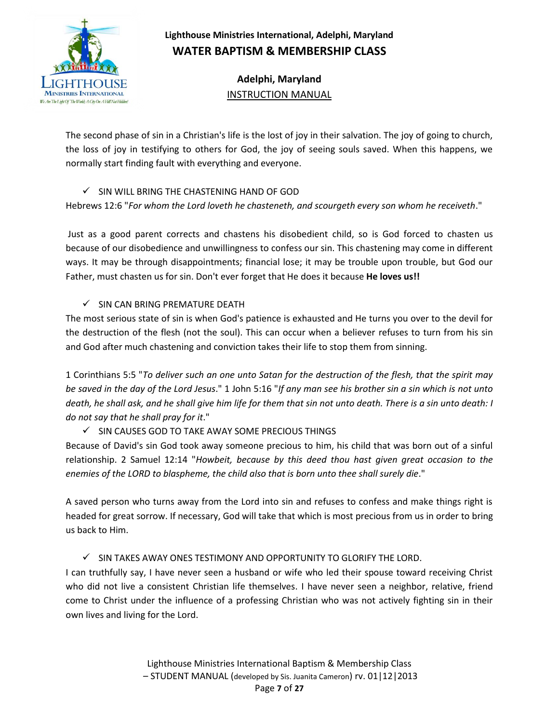

**Adelphi, Maryland** INSTRUCTION MANUAL

The second phase of sin in a Christian's life is the lost of joy in their salvation. The joy of going to church, the loss of joy in testifying to others for God, the joy of seeing souls saved. When this happens, we normally start finding fault with everything and everyone.

### $\checkmark$  SIN WILL BRING THE CHASTENING HAND OF GOD

Hebrews 12:6 "*For whom the Lord loveth he chasteneth, and scourgeth every son whom he receiveth*."

Just as a good parent corrects and chastens his disobedient child, so is God forced to chasten us because of our disobedience and unwillingness to confess our sin. This chastening may come in different ways. It may be through disappointments; financial lose; it may be trouble upon trouble, but God our Father, must chasten us for sin. Don't ever forget that He does it because **He loves us!!**

#### $\checkmark$  SIN CAN BRING PREMATURE DEATH

The most serious state of sin is when God's patience is exhausted and He turns you over to the devil for the destruction of the flesh (not the soul). This can occur when a believer refuses to turn from his sin and God after much chastening and conviction takes their life to stop them from sinning.

1 Corinthians 5:5 "*To deliver such an one unto Satan for the destruction of the flesh, that the spirit may be saved in the day of the Lord Jesus*." 1 John 5:16 "*If any man see his brother sin a sin which is not unto death, he shall ask, and he shall give him life for them that sin not unto death. There is a sin unto death: I do not say that he shall pray for it*."

## $\checkmark$  SIN CAUSES GOD TO TAKE AWAY SOME PRECIOUS THINGS

Because of David's sin God took away someone precious to him, his child that was born out of a sinful relationship. 2 Samuel 12:14 "*Howbeit, because by this deed thou hast given great occasion to the enemies of the LORD to blaspheme, the child also that is born unto thee shall surely die*."

A saved person who turns away from the Lord into sin and refuses to confess and make things right is headed for great sorrow. If necessary, God will take that which is most precious from us in order to bring us back to Him.

#### $\checkmark$  SIN TAKES AWAY ONES TESTIMONY AND OPPORTUNITY TO GLORIFY THE LORD.

I can truthfully say, I have never seen a husband or wife who led their spouse toward receiving Christ who did not live a consistent Christian life themselves. I have never seen a neighbor, relative, friend come to Christ under the influence of a professing Christian who was not actively fighting sin in their own lives and living for the Lord.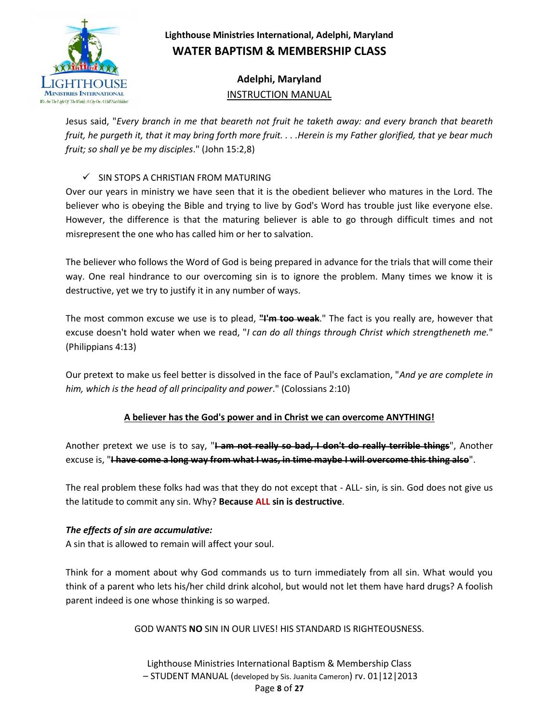

# **Adelphi, Maryland** INSTRUCTION MANUAL

Jesus said, "*Every branch in me that beareth not fruit he taketh away: and every branch that beareth fruit, he purgeth it, that it may bring forth more fruit. . . .Herein is my Father glorified, that ye bear much fruit; so shall ye be my disciples*." (John 15:2,8)

### $\checkmark$  SIN STOPS A CHRISTIAN FROM MATURING

Over our years in ministry we have seen that it is the obedient believer who matures in the Lord. The believer who is obeying the Bible and trying to live by God's Word has trouble just like everyone else. However, the difference is that the maturing believer is able to go through difficult times and not misrepresent the one who has called him or her to salvation.

The believer who follows the Word of God is being prepared in advance for the trials that will come their way. One real hindrance to our overcoming sin is to ignore the problem. Many times we know it is destructive, yet we try to justify it in any number of ways.

The most common excuse we use is to plead, **"I'm too weak**." The fact is you really are, however that excuse doesn't hold water when we read, "*I can do all things through Christ which strengtheneth me.*" (Philippians 4:13)

Our pretext to make us feel better is dissolved in the face of Paul's exclamation, "*And ye are complete in him, which is the head of all principality and power*." (Colossians 2:10)

## **A believer has the God's power and in Christ we can overcome ANYTHING!**

Another pretext we use is to say, "**I am not really so bad, I don't do really terrible things**", Another excuse is, "**I have come a long way from what I was, in time maybe I will overcome this thing also**".

The real problem these folks had was that they do not except that - ALL- sin, is sin. God does not give us the latitude to commit any sin. Why? **Because ALL sin is destructive**.

#### *The effects of sin are accumulative:*

A sin that is allowed to remain will affect your soul.

Think for a moment about why God commands us to turn immediately from all sin. What would you think of a parent who lets his/her child drink alcohol, but would not let them have hard drugs? A foolish parent indeed is one whose thinking is so warped.

GOD WANTS **NO** SIN IN OUR LIVES! HIS STANDARD IS RIGHTEOUSNESS.

Lighthouse Ministries International Baptism & Membership Class – STUDENT MANUAL (developed by Sis. Juanita Cameron) rv. 01|12|2013 Page **8** of **27**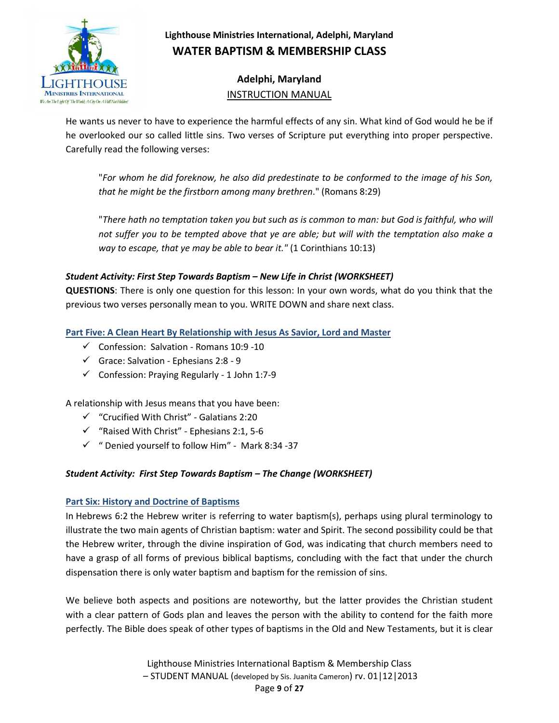

**Adelphi, Maryland** INSTRUCTION MANUAL

He wants us never to have to experience the harmful effects of any sin. What kind of God would he be if he overlooked our so called little sins. Two verses of Scripture put everything into proper perspective. Carefully read the following verses:

"*For whom he did foreknow, he also did predestinate to be conformed to the image of his Son, that he might be the firstborn among many brethren*." (Romans 8:29)

"*There hath no temptation taken you but such as is common to man: but God is faithful, who will not suffer you to be tempted above that ye are able; but will with the temptation also make a way to escape, that ye may be able to bear it."* (1 Corinthians 10:13)

## *Student Activity: First Step Towards Baptism – New Life in Christ (WORKSHEET)*

**QUESTIONS**: There is only one question for this lesson: In your own words, what do you think that the previous two verses personally mean to you. WRITE DOWN and share next class.

**Part Five: A Clean Heart By Relationship with Jesus As Savior, Lord and Master**

- $\checkmark$  Confession: Salvation Romans 10:9 -10
- $\checkmark$  Grace: Salvation Ephesians 2:8 9
- $\checkmark$  Confession: Praying Regularly 1 John 1:7-9

A relationship with Jesus means that you have been:

- $\checkmark$  "Crucified With Christ" Galatians 2:20
- $\checkmark$  "Raised With Christ" Ephesians 2:1, 5-6
- $\checkmark$  " Denied yourself to follow Him" Mark 8:34 -37

#### *Student Activity: First Step Towards Baptism – The Change (WORKSHEET)*

#### **Part Six: History and Doctrine of Baptisms**

In Hebrews 6:2 the Hebrew writer is referring to water baptism(s), perhaps using plural terminology to illustrate the two main agents of Christian baptism: water and Spirit. The second possibility could be that the Hebrew writer, through the divine inspiration of God, was indicating that church members need to have a grasp of all forms of previous biblical baptisms, concluding with the fact that under the church dispensation there is only water baptism and baptism for the remission of sins.

We believe both aspects and positions are noteworthy, but the latter provides the Christian student with a clear pattern of Gods plan and leaves the person with the ability to contend for the faith more perfectly. The Bible does speak of other types of baptisms in the Old and New Testaments, but it is clear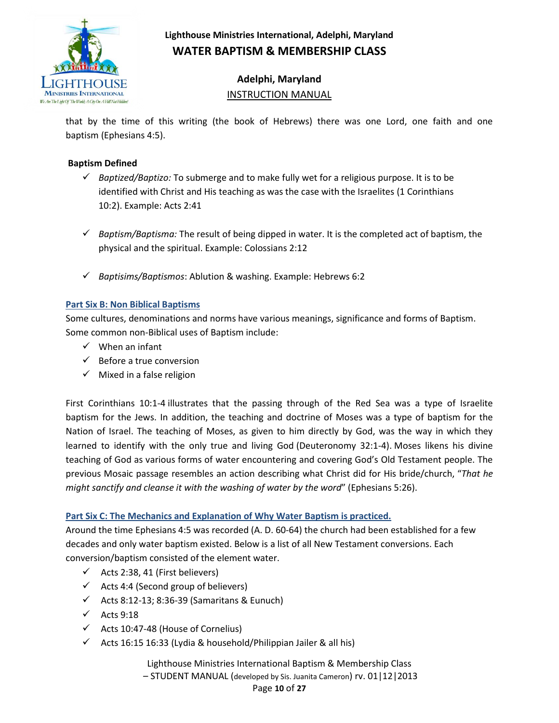

# **Adelphi, Maryland** INSTRUCTION MANUAL

that by the time of this writing (the book of Hebrews) there was one Lord, one faith and one baptism (Ephesians 4:5).

### **Baptism Defined**

- *Baptized/Baptizo:* To submerge and to make fully wet for a religious purpose. It is to be identified with Christ and His teaching as was the case with the Israelites (1 Corinthians 10:2). Example: Acts 2:41
- $\checkmark$  Baptism/Baptisma: The result of being dipped in water. It is the completed act of baptism, the physical and the spiritual. Example: Colossians 2:12
- *Baptisims/Baptismos*: Ablution & washing. Example: Hebrews 6:2

### **Part Six B: Non Biblical Baptisms**

Some cultures, denominations and norms have various meanings, significance and forms of Baptism. Some common non-Biblical uses of Baptism include:

- $\checkmark$  When an infant
- $\checkmark$  Before a true conversion
- $\checkmark$  Mixed in a false religion

First Corinthians 10:1-4 illustrates that the passing through of the Red Sea was a type of Israelite baptism for the Jews. In addition, the teaching and doctrine of Moses was a type of baptism for the Nation of Israel. The teaching of Moses, as given to him directly by God, was the way in which they learned to identify with the only true and living God (Deuteronomy 32:1-4). Moses likens his divine teaching of God as various forms of water encountering and covering God's Old Testament people. The previous Mosaic passage resembles an action describing what Christ did for His bride/church, "*That he might sanctify and cleanse it with the washing of water by the word*" (Ephesians 5:26).

#### **Part Six C: The Mechanics and Explanation of Why Water Baptism is practiced.**

Around the time Ephesians 4:5 was recorded (A. D. 60-64) the church had been established for a few decades and only water baptism existed. Below is a list of all New Testament conversions. Each conversion/baptism consisted of the element water.

- $\checkmark$  Acts 2:38, 41 (First believers)
- $\checkmark$  Acts 4:4 (Second group of believers)
- $\checkmark$  Acts 8:12-13; 8:36-39 (Samaritans & Eunuch)
- $\checkmark$  Acts 9:18
- $\checkmark$  Acts 10:47-48 (House of Cornelius)
- $\checkmark$  Acts 16:15 16:33 (Lydia & household/Philippian Jailer & all his)

Lighthouse Ministries International Baptism & Membership Class

– STUDENT MANUAL (developed by Sis. Juanita Cameron) rv. 01|12|2013

#### Page **10** of **27**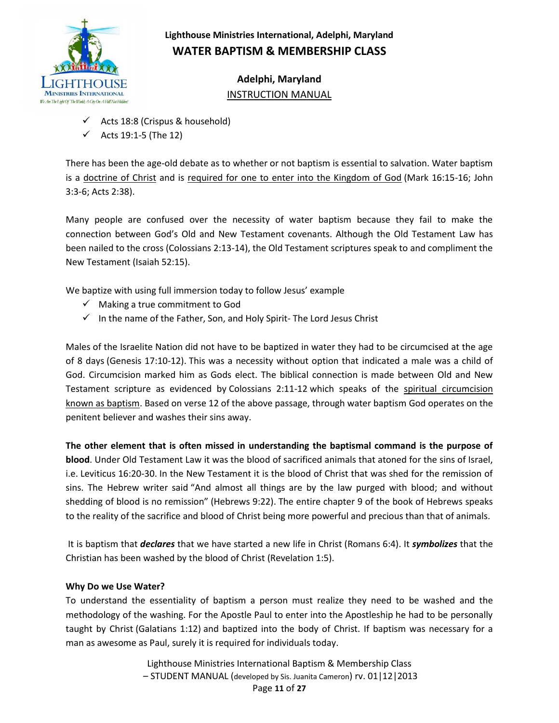

**Adelphi, Maryland** INSTRUCTION MANUAL

- $\checkmark$  Acts 18:8 (Crispus & household)
- Acts 19:1-5 (The 12)

There has been the age-old debate as to whether or not baptism is essential to salvation. Water baptism is a doctrine of Christ and is required for one to enter into the Kingdom of God (Mark 16:15-16; John 3:3-6; Acts 2:38).

Many people are confused over the necessity of water baptism because they fail to make the connection between God's Old and New Testament covenants. Although the Old Testament Law has been nailed to the cross (Colossians 2:13-14), the Old Testament scriptures speak to and compliment the New Testament (Isaiah 52:15).

We baptize with using full immersion today to follow Jesus' example

- $\checkmark$  Making a true commitment to God
- $\checkmark$  In the name of the Father, Son, and Holy Spirit- The Lord Jesus Christ

Males of the Israelite Nation did not have to be baptized in water they had to be circumcised at the age of 8 days (Genesis 17:10-12). This was a necessity without option that indicated a male was a child of God. Circumcision marked him as Gods elect. The biblical connection is made between Old and New Testament scripture as evidenced by Colossians 2:11-12 which speaks of the spiritual circumcision known as baptism. Based on verse 12 of the above passage, through water baptism God operates on the penitent believer and washes their sins away.

**The other element that is often missed in understanding the baptismal command is the purpose of blood**. Under Old Testament Law it was the blood of sacrificed animals that atoned for the sins of Israel, i.e. Leviticus 16:20-30. In the New Testament it is the blood of Christ that was shed for the remission of sins. The Hebrew writer said "And almost all things are by the law purged with blood; and without shedding of blood is no remission" (Hebrews 9:22). The entire chapter 9 of the book of Hebrews speaks to the reality of the sacrifice and blood of Christ being more powerful and precious than that of animals.

It is baptism that *declares* that we have started a new life in Christ (Romans 6:4). It *symbolizes* that the Christian has been washed by the blood of Christ (Revelation 1:5).

#### **Why Do we Use Water?**

To understand the essentiality of baptism a person must realize they need to be washed and the methodology of the washing. For the Apostle Paul to enter into the Apostleship he had to be personally taught by Christ (Galatians 1:12) and baptized into the body of Christ. If baptism was necessary for a man as awesome as Paul, surely it is required for individuals today.

> Lighthouse Ministries International Baptism & Membership Class – STUDENT MANUAL (developed by Sis. Juanita Cameron) rv. 01|12|2013 Page **11** of **27**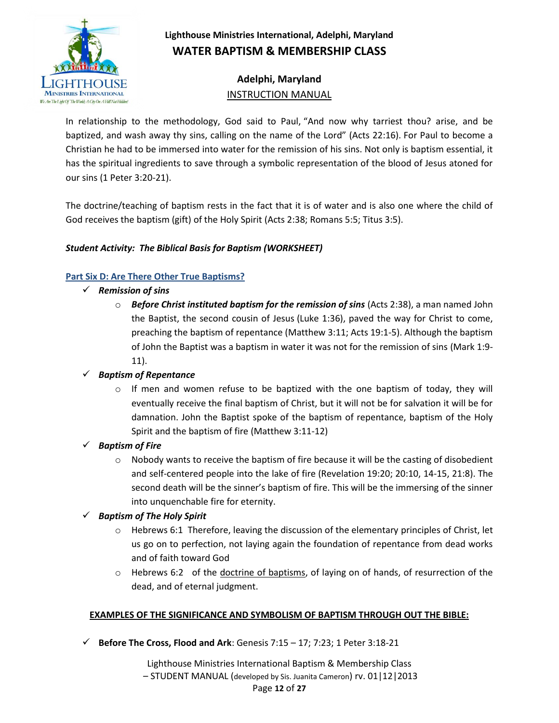

## **Adelphi, Maryland** INSTRUCTION MANUAL

In relationship to the methodology, God said to Paul, "And now why tarriest thou? arise, and be baptized, and wash away thy sins, calling on the name of the Lord" (Acts 22:16). For Paul to become a Christian he had to be immersed into water for the remission of his sins. Not only is baptism essential, it has the spiritual ingredients to save through a symbolic representation of the blood of Jesus atoned for our sins (1 Peter 3:20-21).

The doctrine/teaching of baptism rests in the fact that it is of water and is also one where the child of God receives the baptism (gift) of the Holy Spirit (Acts 2:38; Romans 5:5; Titus 3:5).

## *Student Activity: The Biblical Basis for Baptism (WORKSHEET)*

### **Part Six D: Are There Other True Baptisms?**

- *Remission of sins*
	- o *Before Christ instituted baptism for the remission of sins* (Acts 2:38), a man named John the Baptist, the second cousin of Jesus (Luke 1:36), paved the way for Christ to come, preaching the baptism of repentance (Matthew 3:11; Acts 19:1-5). Although the baptism of John the Baptist was a baptism in water it was not for the remission of sins (Mark 1:9- 11).

## *Baptism of Repentance*

 $\circ$  If men and women refuse to be baptized with the one baptism of today, they will eventually receive the final baptism of Christ, but it will not be for salvation it will be for damnation. John the Baptist spoke of the baptism of repentance, baptism of the Holy Spirit and the baptism of fire (Matthew 3:11-12)

#### *Baptism of Fire*

 $\circ$  Nobody wants to receive the baptism of fire because it will be the casting of disobedient and self-centered people into the lake of fire (Revelation 19:20; 20:10, 14-15, 21:8). The second death will be the sinner's baptism of fire. This will be the immersing of the sinner into unquenchable fire for eternity.

## *Baptism of The Holy Spirit*

- $\circ$  Hebrews 6:1 Therefore, leaving the discussion of the elementary principles of Christ, let us go on to perfection, not laying again the foundation of repentance from dead works and of faith toward God
- o Hebrews 6:2 of the doctrine of baptisms, of laying on of hands, of resurrection of the dead, and of eternal judgment.

## **EXAMPLES OF THE SIGNIFICANCE AND SYMBOLISM OF BAPTISM THROUGH OUT THE BIBLE:**

 $\checkmark$  Before The Cross, Flood and Ark: Genesis 7:15 – 17; 7:23; 1 Peter 3:18-21

Lighthouse Ministries International Baptism & Membership Class

– STUDENT MANUAL (developed by Sis. Juanita Cameron) rv. 01|12|2013